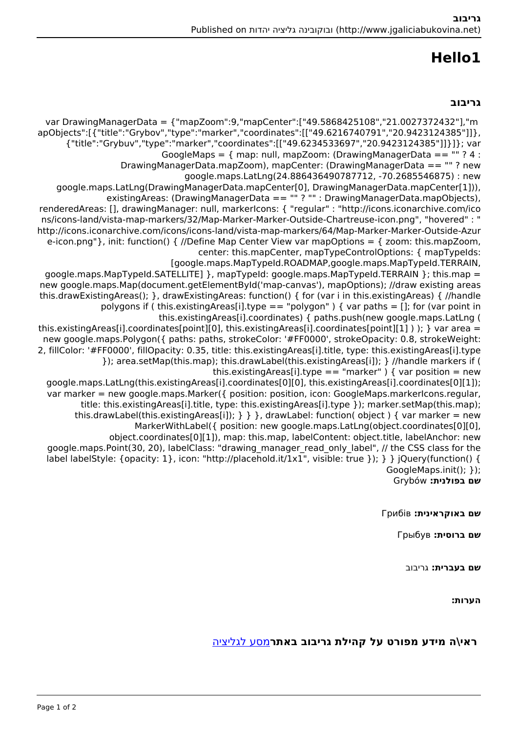# **1Hello**

#### **גריבוב**

var DrawingManagerData = {"mapZoom":9,"mapCenter":["49.5868425108","21.0027372432"],"m ,apObjects":[{"title":"Grybov","type":"marker","coordinates":[["49.6216740791","20.9423124385"]]} {"title":"Grybuy","type":"marker","coordinates":[["49.6234533697","20.9423124385"]]}]}; var GoogleMaps =  $\{$  map: null, mapZoom: (DrawingManagerData == "" ? 4 : DrawingManagerData.mapZoom), mapCenter: (DrawingManagerData == ""? new google.maps.LatLng(24.886436490787712, -70.2685546875) : new google.maps.LatLng(DrawingManagerData.mapCenter[0], DrawingManagerData.mapCenter[1])), existingAreas: (DrawingManagerData == "" ? "" : DrawingManagerData mapObjects), renderedAreas: [], drawingManager: null, markerIcons: { "regular" : "http://icons.iconarchive.com/ico ms/icons-land/vista-map-markers/32/Map-Marker-Marker-Outside-Chartreuse-icon.png", "hovered" : " http://icons.iconarchive.com/icons/icons-land/vista-map-markers/64/Map-Marker-Marker-Outside-Azur e-icon.png" }, init: function() { //Define Map Center View var map Options = { zoom: this map Zoom. center: this mapCenter, mapTypeControlOptions: { mapTypeIds: [google.maps.MapTypeId.ROADMAP.google.maps.MapTypeId.TERRAIN.  $qoogle.maps.MapTypeld.SATELLITE]$ ,  $mapTypeld: qoogle.maps.MapTypeld.TERRAIN$ ; this.map = new google.maps.Map(document.getElementById('map-canvas'), mapOptions); //draw existing areas this drawExistingAreas $()$ ; }, drawExistingAreas: function $()$  { for (var i in this existingAreas) { //handle polygons if (this existing Areas [i] type = = "polygon" ) { var paths = []; for (var point in this.existingAreas[i].coordinates) { paths.push(new google.maps.LatLng ( this existing Areas [i] coordinates [point][0], this existing Areas [i] coordinates [point][1] ) ); } var area = new google.maps.Polygon({ paths: paths, strokeColor: '#FF0000', strokeOpacity: 0.8, strokeWeight: 2, fillColor: '#FF0000', fillOpacity: 0.35, title: this.existingAreas[i].title, type: this.existingAreas[i].type }); area.setMap(this.map); this.drawLabel(this.existingAreas[i]); } //handle markers if ( this.existingAreas[i].type == "marker" ) { var position = new qoogle.maps.LatLng(this.existingAreas[i].coordinates[0][0], this.existingAreas[i].coordinates[0][1]); var marker = new google.maps.Marker( $\{$  position: position, icon: GoogleMaps.markerlcons.regular, title: this.existingAreas[i].title, type: this.existingAreas[i].type }); marker.setMap(this.map); this.drawLabel(this.existingAreas[i]);  $\}$  } }, drawLabel: function( object ) { var marker = new MarkerWithLabel({ position: new google.maps.LatLng(object.coordinates[0][0], object.coordinates[0][1]), map: this map. labelContent: object title. labelAnchor: new google maps Point (30, 20), label Class: "drawing manager read only label", // the CSS class for the label labelStyle: {opacity: 1}, icon: "http://placehold.it/1x1", visible: true }); } } iQuery(function() { GoogleMaps.init(); }); **שם בפולנית:** Grybów

**שם באוקראינית:** Грибів

**שם ברוסית:** Грыбув

**שם בעברית:** גריבוב

**הערות:** 

#### **ראי\ה מידע מפורט על קהילת גריבוב באתר**[מסע לגליציה](https://yadzehava.wixsite.com/galicia2/blank-17)